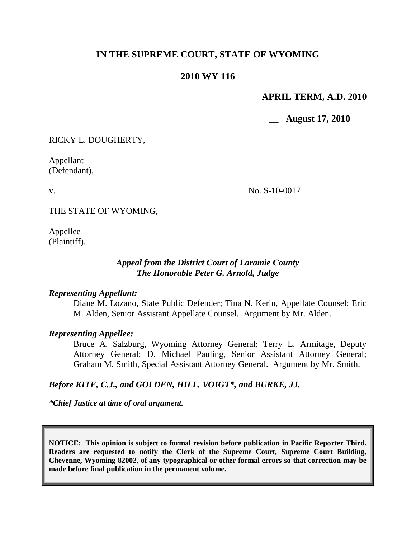# **IN THE SUPREME COURT, STATE OF WYOMING**

## **2010 WY 116**

## **APRIL TERM, A.D. 2010**

\_\_ **August 17, 2010**

RICKY L. DOUGHERTY,

Appellant (Defendant),

v.

No. S-10-0017

THE STATE OF WYOMING,

Appellee (Plaintiff).

# *Appeal from the District Court of Laramie County The Honorable Peter G. Arnold, Judge*

#### *Representing Appellant:*

Diane M. Lozano, State Public Defender; Tina N. Kerin, Appellate Counsel; Eric M. Alden, Senior Assistant Appellate Counsel. Argument by Mr. Alden.

## *Representing Appellee:*

Bruce A. Salzburg, Wyoming Attorney General; Terry L. Armitage, Deputy Attorney General; D. Michael Pauling, Senior Assistant Attorney General; Graham M. Smith, Special Assistant Attorney General. Argument by Mr. Smith.

## *Before KITE, C.J., and GOLDEN, HILL, VOIGT\*, and BURKE, JJ.*

*\*Chief Justice at time of oral argument.*

**NOTICE: This opinion is subject to formal revision before publication in Pacific Reporter Third. Readers are requested to notify the Clerk of the Supreme Court, Supreme Court Building, Cheyenne, Wyoming 82002, of any typographical or other formal errors so that correction may be made before final publication in the permanent volume.**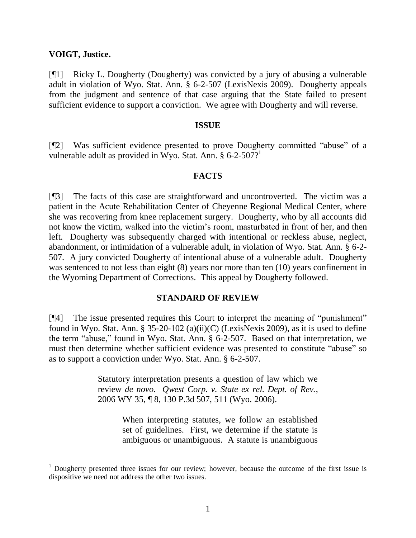#### **VOIGT, Justice.**

 $\overline{a}$ 

[¶1] Ricky L. Dougherty (Dougherty) was convicted by a jury of abusing a vulnerable adult in violation of Wyo. Stat. Ann. § 6-2-507 (LexisNexis 2009). Dougherty appeals from the judgment and sentence of that case arguing that the State failed to present sufficient evidence to support a conviction. We agree with Dougherty and will reverse.

#### **ISSUE**

[¶2] Was sufficient evidence presented to prove Dougherty committed "abuse" of a vulnerable adult as provided in Wyo. Stat. Ann. § 6-2-507?<sup>1</sup>

#### **FACTS**

[¶3] The facts of this case are straightforward and uncontroverted. The victim was a patient in the Acute Rehabilitation Center of Cheyenne Regional Medical Center, where she was recovering from knee replacement surgery. Dougherty, who by all accounts did not know the victim, walked into the victim"s room, masturbated in front of her, and then left. Dougherty was subsequently charged with intentional or reckless abuse, neglect, abandonment, or intimidation of a vulnerable adult, in violation of Wyo. Stat. Ann. § 6-2- 507. A jury convicted Dougherty of intentional abuse of a vulnerable adult. Dougherty was sentenced to not less than eight (8) years nor more than ten (10) years confinement in the Wyoming Department of Corrections. This appeal by Dougherty followed.

## **STANDARD OF REVIEW**

[¶4] The issue presented requires this Court to interpret the meaning of "punishment" found in Wyo. Stat. Ann. § 35-20-102 (a)(ii)(C) (LexisNexis 2009), as it is used to define the term "abuse," found in Wyo. Stat. Ann. § 6-2-507. Based on that interpretation, we must then determine whether sufficient evidence was presented to constitute "abuse" so as to support a conviction under Wyo. Stat. Ann. § 6-2-507.

> Statutory interpretation presents a question of law which we review *de novo. Qwest Corp. v. State ex rel. Dept. of Rev.*, 2006 WY 35, ¶ 8, 130 P.3d 507, 511 (Wyo. 2006).

> > When interpreting statutes, we follow an established set of guidelines. First, we determine if the statute is ambiguous or unambiguous. A statute is unambiguous

 $1$  Dougherty presented three issues for our review; however, because the outcome of the first issue is dispositive we need not address the other two issues.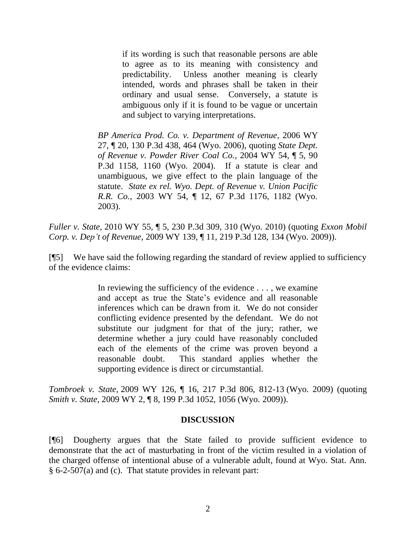if its wording is such that reasonable persons are able to agree as to its meaning with consistency and predictability. Unless another meaning is clearly intended, words and phrases shall be taken in their ordinary and usual sense. Conversely, a statute is ambiguous only if it is found to be vague or uncertain and subject to varying interpretations.

*BP America Prod. Co. v. Department of Revenue*, 2006 WY 27, ¶ 20, 130 P.3d 438, 464 (Wyo. 2006), quoting *State Dept. of Revenue v. Powder River Coal Co.*, 2004 WY 54, ¶ 5, 90 P.3d 1158, 1160 (Wyo. 2004). If a statute is clear and unambiguous, we give effect to the plain language of the statute. *State ex rel. Wyo. Dept. of Revenue v. Union Pacific R.R. Co.*, 2003 WY 54, ¶ 12, 67 P.3d 1176, 1182 (Wyo. 2003).

*Fuller v. State*, 2010 WY 55, ¶ 5, 230 P.3d 309, 310 (Wyo. 2010) (quoting *Exxon Mobil Corp. v. Dep't of Revenue*, 2009 WY 139, ¶ 11, 219 P.3d 128, 134 (Wyo. 2009)).

[¶5] We have said the following regarding the standard of review applied to sufficiency of the evidence claims:

> In reviewing the sufficiency of the evidence . . . , we examine and accept as true the State"s evidence and all reasonable inferences which can be drawn from it. We do not consider conflicting evidence presented by the defendant. We do not substitute our judgment for that of the jury; rather, we determine whether a jury could have reasonably concluded each of the elements of the crime was proven beyond a reasonable doubt. This standard applies whether the supporting evidence is direct or circumstantial.

*Tombroek v. State*, 2009 WY 126, ¶ 16, 217 P.3d 806, 812-13 (Wyo. 2009) (quoting *Smith v. State*, 2009 WY 2, ¶ 8, 199 P.3d 1052, 1056 (Wyo. 2009)).

## **DISCUSSION**

[¶6] Dougherty argues that the State failed to provide sufficient evidence to demonstrate that the act of masturbating in front of the victim resulted in a violation of the charged offense of intentional abuse of a vulnerable adult, found at Wyo. Stat. Ann. § 6-2-507(a) and (c). That statute provides in relevant part: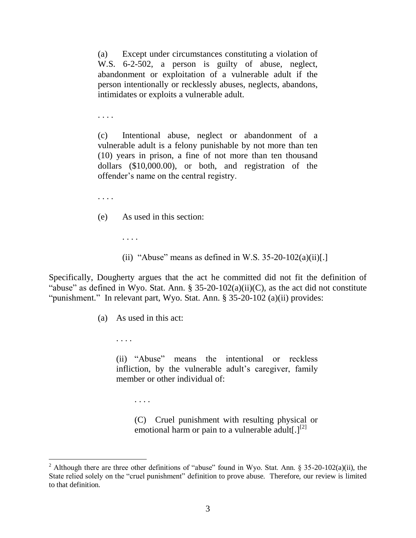(a) Except under circumstances constituting a violation of W.S. 6-2-502, a person is guilty of abuse, neglect, abandonment or exploitation of a vulnerable adult if the person intentionally or recklessly abuses, neglects, abandons, intimidates or exploits a vulnerable adult.

. . . .

(c) Intentional abuse, neglect or abandonment of a vulnerable adult is a felony punishable by not more than ten (10) years in prison, a fine of not more than ten thousand dollars (\$10,000.00), or both, and registration of the offender"s name on the central registry.

. . . .

- (e) As used in this section:
	- (ii) "Abuse" means as defined in W.S.  $35-20-102(a)(ii)$ .]

Specifically, Dougherty argues that the act he committed did not fit the definition of "abuse" as defined in Wyo. Stat. Ann. § 35-20-102(a)(ii)(C), as the act did not constitute "punishment." In relevant part, Wyo. Stat. Ann. § 35-20-102 (a)(ii) provides:

(a) As used in this act:

. . . .

 $\overline{a}$ 

. . . .

(ii) "Abuse" means the intentional or reckless infliction, by the vulnerable adult's caregiver, family member or other individual of:

. . . .

(C) Cruel punishment with resulting physical or emotional harm or pain to a vulnerable adult  $\lfloor 1^{2} \rfloor$ 

<sup>&</sup>lt;sup>2</sup> Although there are three other definitions of "abuse" found in Wyo. Stat. Ann. § 35-20-102(a)(ii), the State relied solely on the "cruel punishment" definition to prove abuse. Therefore, our review is limited to that definition.